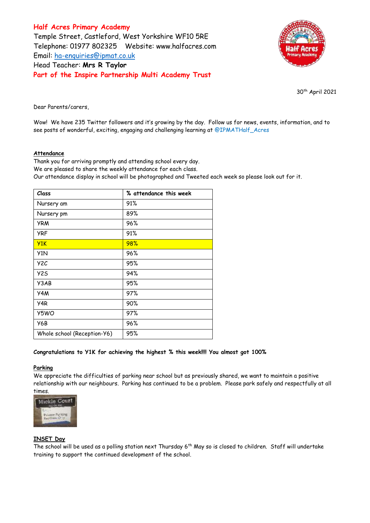**Half Acres Primary Academy** Temple Street, Castleford, West Yorkshire WF10 5RE Telephone: 01977 802325 Website: [www.halfacres.com](http://www.halfacres.com/) Email: [ha-enquiries@ipmat.co.uk](mailto:ha-enquiries@ipmat.co.uk) Head Teacher: **Mrs R Taylor Part of the Inspire Partnership Multi Academy Trust**



30th April 2021

Dear Parents/carers,

Wow! We have 235 Twitter followers and it's growing by the day. Follow us for news, events, information, and to see posts of wonderful, exciting, engaging and challenging learning at @IPMATHalf\_Acres

### **Attendance**

Thank you for arriving promptly and attending school every day. We are pleased to share the weekly attendance for each class. Our attendance display in school will be photographed and Tweeted each week so please look out for it.

| Class                       | % attendance this week |
|-----------------------------|------------------------|
| Nursery am                  | 91%                    |
| Nursery pm                  | 89%                    |
| <b>YRM</b>                  | 96%                    |
| <b>YRF</b>                  | 91%                    |
| Y1K                         | 98%                    |
| Y <sub>1</sub> N            | 96%                    |
| Y <sub>2</sub> C            | 95%                    |
| <b>Y25</b>                  | 94%                    |
| Y3AB                        | 95%                    |
| Y4M                         | 97%                    |
| Y4R                         | 90%                    |
| Y5WO                        | 97%                    |
| Y6B                         | 96%                    |
| Whole school (Reception-Y6) | 95%                    |

### **Congratulations to Y1K for achieving the highest % this week!!!! You almost got 100%**

#### **Parking**

We appreciate the difficulties of parking near school but as previously shared, we want to maintain a positive relationship with our neighbours. Parking has continued to be a problem. Please park safely and respectfully at all times.



### **INSET Day**

The school will be used as a polling station next Thursday 6<sup>th</sup> May so is closed to children. Staff will undertake training to support the continued development of the school.